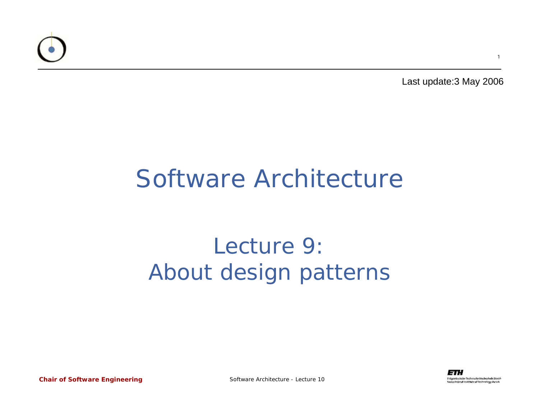

Last update:3 May 2006

#### Software Architecture

#### Lecture 9:About design patterns

*Chair of Software Engineering*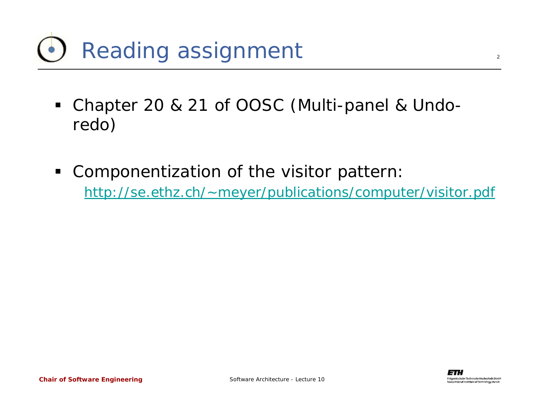- Chapter 20 & 21 of OOSC (Multi-panel & Undoredo)
- $\blacksquare$  Componentization of the visitor pattern: <http://se.ethz.ch/~meyer/publications/computer/visitor.pdf>

sul institute of featural av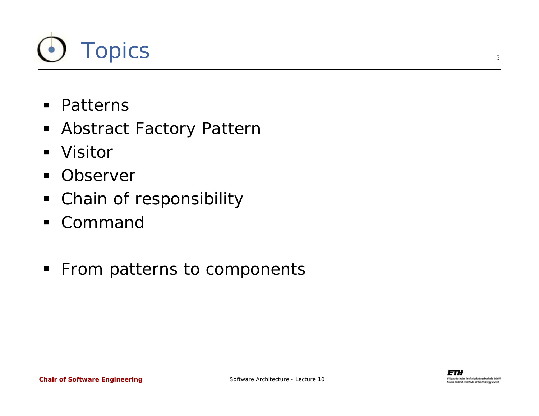

- **•** Patterns
- Abstract Factory Pattern
- Visitor
- $\blacksquare$ **Observer**
- Chain of responsibility
- Command
- **From patterns to components**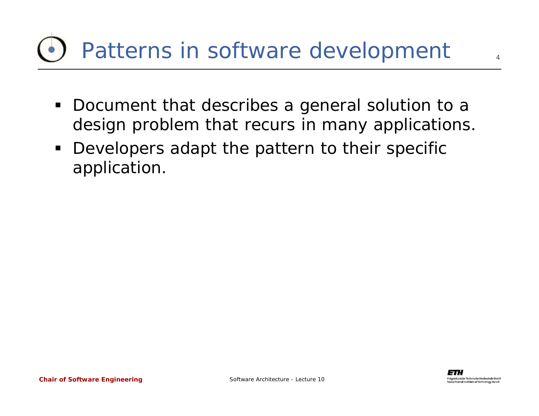# Patterns in software development

- $\blacksquare$  Document that describes a general solution to a design problem that recurs in many applications.
- **Developers adapt the pattern to their specific** application.

 $\Delta$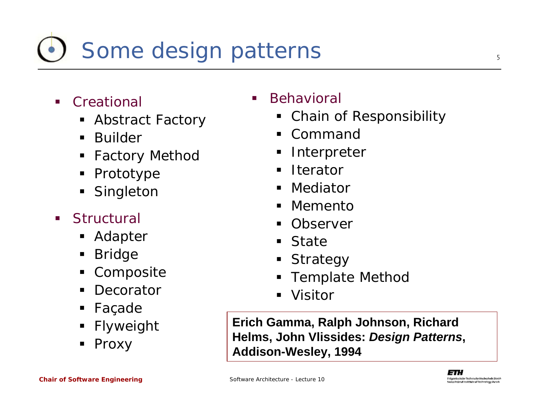# Some design patterns

- $\overline{\phantom{a}}$ **Creational** 
	- Abstract Factory
	- $\blacksquare$ Builder
	- ٠ Factory Method
	- Prototype
	- Singleton
- $\mathcal{L}_{\mathcal{A}}$ **Structural** 
	- Adapter
	- ٠ Bridge
	- ٠ Composite
	- **Decorator**
	- ٠ Façade
	- ٠ Flyweight
	- Proxy

#### Behavioral

- Chain of Responsibility
- $\blacksquare$ Command
- Interpreter
- $\blacksquare$ Iterator
- $\blacksquare$ Mediator
- $\blacksquare$ Memento
- **Observer**
- State
- **Strategy**
- Template Method
- Visitor

**Erich Gamma, Ralph Johnson, Richard Helms, John Vlissides:** *Design Patterns***, Addison-Wesley, 1994**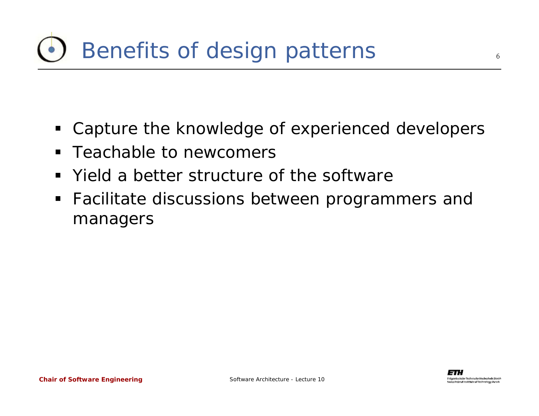- Capture the knowledge of experienced developers
- ٠ Teachable to newcomers
- $\blacksquare$ Yield a better structure of the software
- **Facilitate discussions between programmers and** managers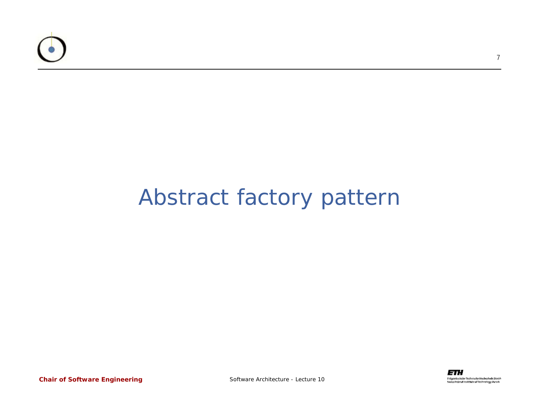

#### Abstract factory pattern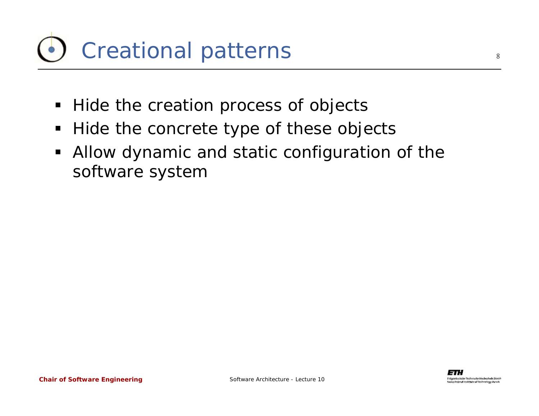## Creational patterns

- Hide the creation process of objects
- $\blacksquare$ Hide the concrete type of these objects
- Allow dynamic and static configuration of the software system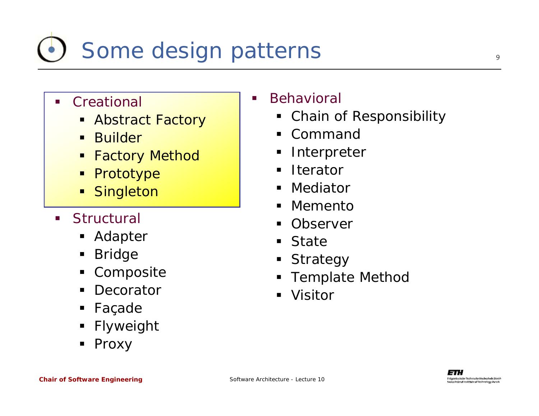# Some design patterns

#### $\blacksquare$ **Creational**

- Abstract Factory
- $\blacksquare$ Builder
- $\blacksquare$ Factory Method
- Prototype
- $\blacksquare$ **Singleton**
- $\mathcal{L}$ **Structural** 
	- Adapter
	- ٠ Bridge
	- $\blacksquare$ Composite
	- $\blacksquare$ **Decorator**
	- $\blacksquare$ Façade
	- ٠ Flyweight
	- Proxy

#### Behavioral

 $\overline{\phantom{a}}$ 

- Chain of Responsibility
- Command
- Interpreter
- $\blacksquare$ **Iterator**
- $\blacksquare$ Mediator
- $\blacksquare$ Memento
- **Observer**
- $\blacksquare$ ■ State
- **Strategy**
- Template Method
- Visitor

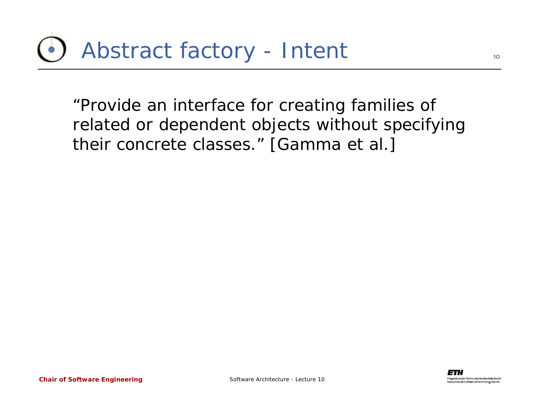"*Provide an interface for creating families of related or dependent objects without specifying their concrete classes.*" [Gamma et al.]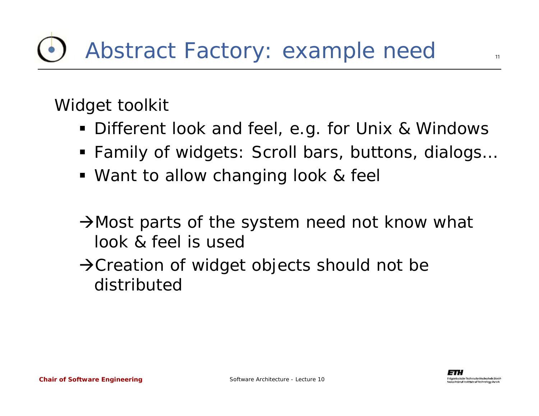Widget toolkit

- Different look and feel, e.g. for Unix & Windows
- Family of widgets: Scroll bars, buttons, dialogs…
- Want to allow changing look & feel
- AMost parts of the system need not know what look & feel is used
- $\rightarrow$  Creation of widget objects should not be distributed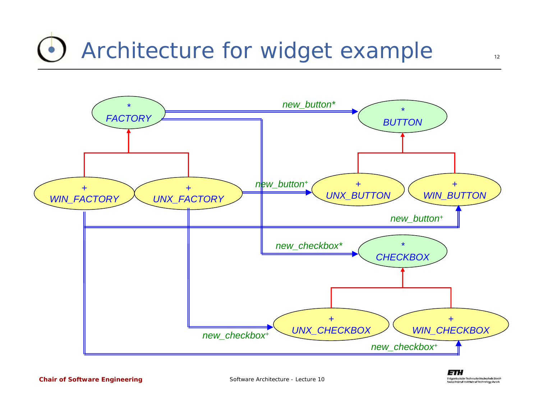### Architecture for widget example



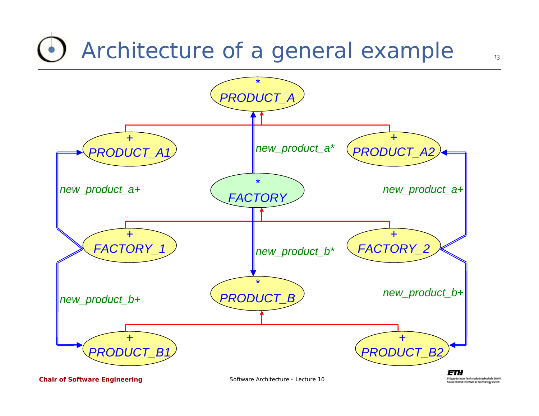### Architecture of a general example



*Chair of Software Engineering*

Software Architecture - Lecture 10

penässische Technische Utochschule Züric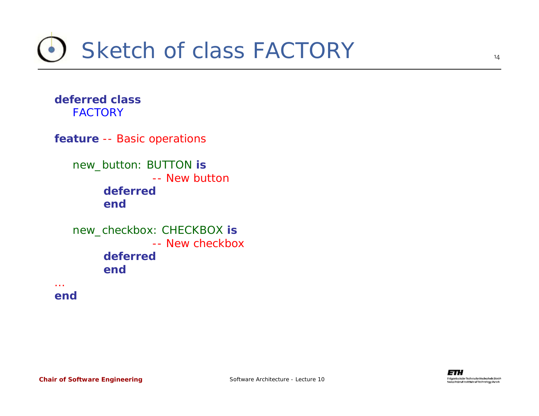

**deferred class***FACTORY*

**feature** -- Basic operations

*new\_button: BUTTON* **is** -- New button**deferredend**

```
new_checkbox: CHECKBOX is
            -- New checkboxdeferredend
```
**end**

…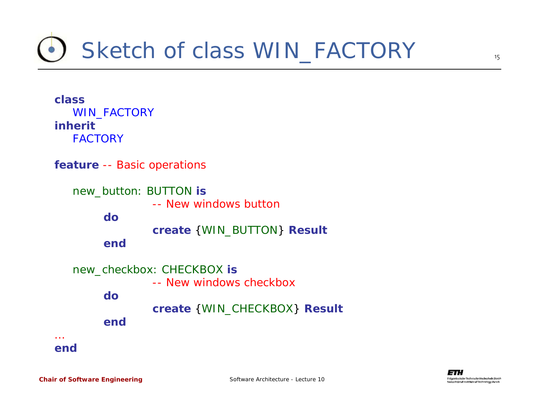### Sketch of class *WIN\_FACTORY*

**class***WIN\_FACTORY* **inherit***FACTORY*

**feature** -- Basic operations

*new\_button: BUTTON* **is** -- New windows button**docreate** {*WIN\_BUTTON*} **Result end**



**end**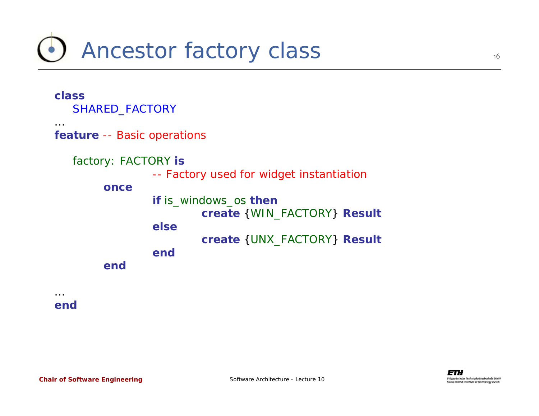### Ancestor factory class



**end**

…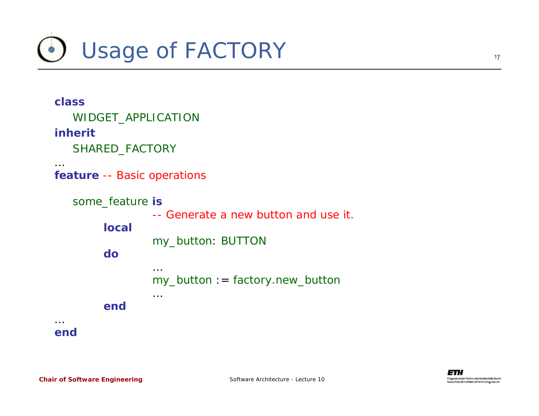

| class<br>WIDGET_APPLICATION<br><b>inherit</b><br>SHARED_FACTORY |                                                                                                               |  |
|-----------------------------------------------------------------|---------------------------------------------------------------------------------------------------------------|--|
| $\cdots$<br><b>feature</b> -- Basic operations                  |                                                                                                               |  |
| some feature is<br><b>local</b><br>do                           | -- Generate a new button and use it.<br>my_button: BUTTON<br>$\cdots$<br>$my_b$ button : = factory.new_button |  |
| end                                                             | $\cdots$                                                                                                      |  |
| end                                                             |                                                                                                               |  |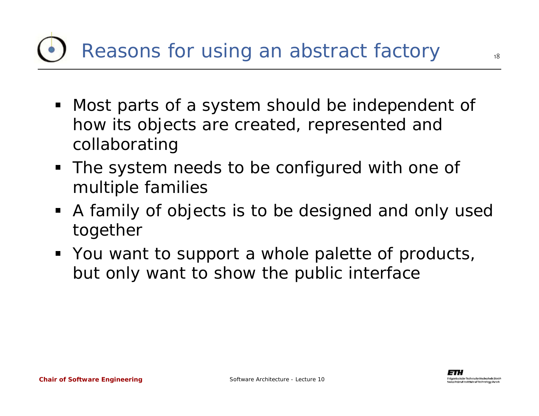## Reasons for using an abstract factory

- Most parts of a system should be independent of how its objects are created, represented and collaborating
- The system needs to be configured with one of multiple families
- A family of objects is to be designed and only used together
- **•** You want to support a whole palette of products, but only want to show the public interface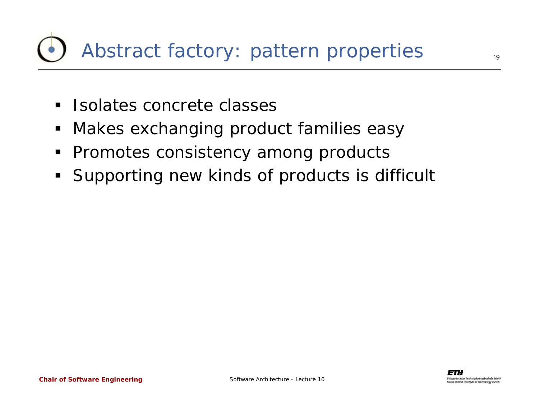- **Isolates concrete classes**
- $\blacksquare$ Makes exchanging product families easy
- **Promotes consistency among products**
- $\blacksquare$ Supporting new kinds of products is difficult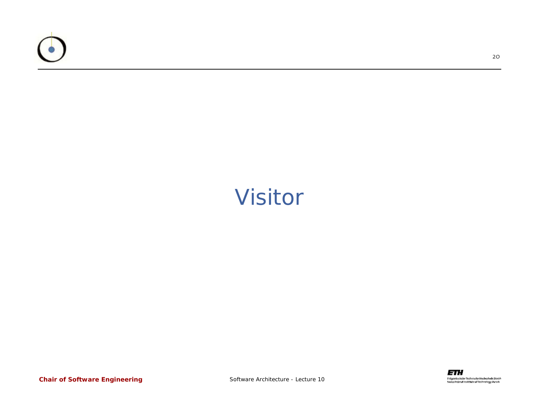

#### Visitor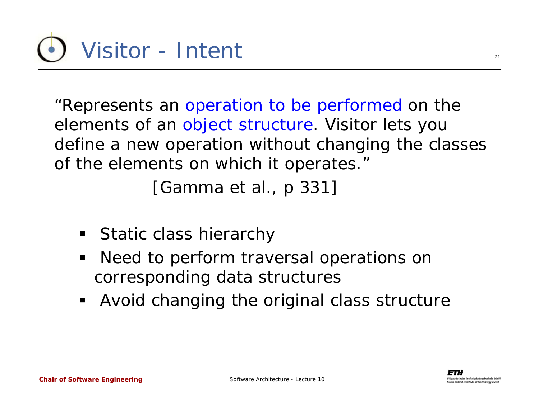"Represents an operation to be performed on the elements of an object structure. Visitor lets you define a new operation without changing the classes of the elements on which it operates."

[Gamma et al., p 331]

- Static class hierarchy
- Need to perform traversal operations on corresponding data structures
- Avoid changing the original class structure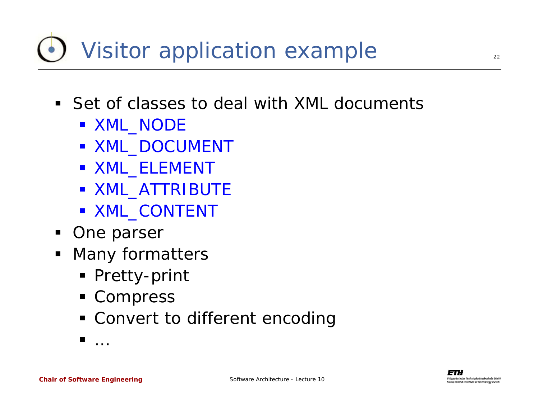# Visitor application example

- Set of classes to deal with XML documents
	- *XML\_NODE*
	- *XML\_DOCUMENT*
	- *XML\_ELEMENT*
	- *XML\_ATTRIBUTE*
	- *XML\_CONTENT*
- **One parser**
- Many formatters
	- Pretty-print
	- Compress
	- Convert to different encoding

 $\blacksquare$ 

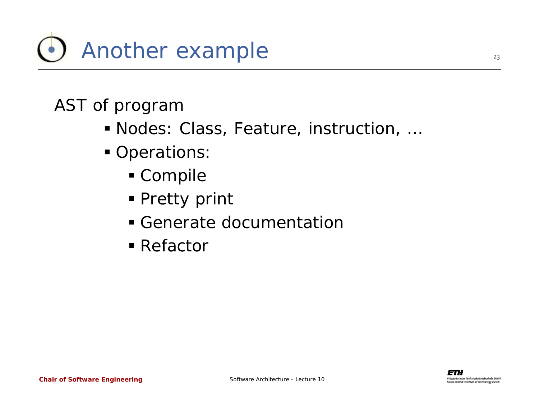

#### AST of program

- Nodes: Class, Feature, instruction, …
- **Operations:** 
	- Compile
	- Pretty print
	- Generate documentation
	- Refactor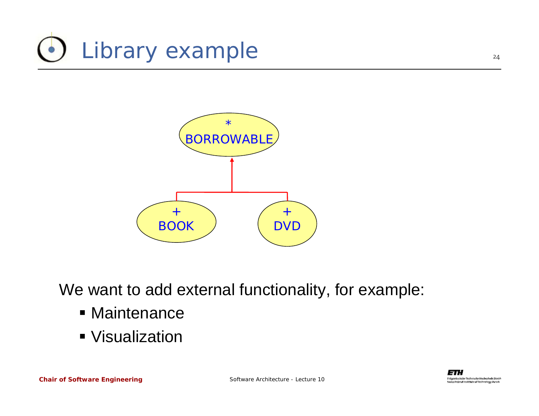



We want to add external functionality, for example:

- **Maintenance**
- Visualization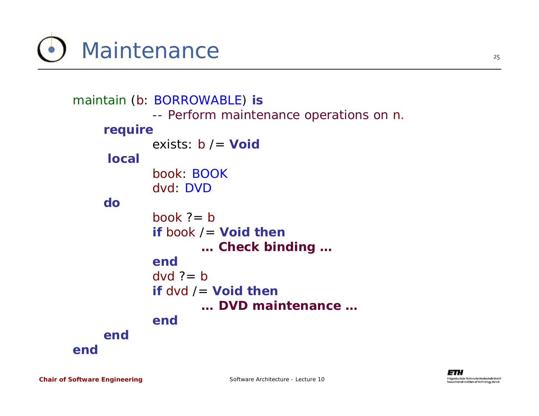Maintenance

```
maintain (b: BORROWABLE) is
            -- Perform maintenance operations on n.
    require
            exists: b /= Void
     localbook: BOOKdvd: DVDdobook ?= b
            if book /= Void then
                   … Check binding …
           enddvd ?= b
            if dvd /= Void then
                   … DVD maintenance …
           endendend
```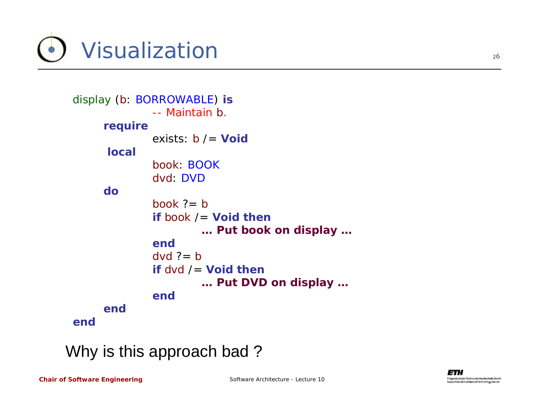

```
display (b: BORROWABLE) is
             -- Maintain b.
     require
             exists: b /= Void
     localbook: BOOKdvd: DVDdobook ?= b
             if book /= Void then
                     … Put book on display …
             enddvd ?= b
             if dvd /= Void then
                     … Put DVD on display …
             endendend
```
#### Why is this approach bad ?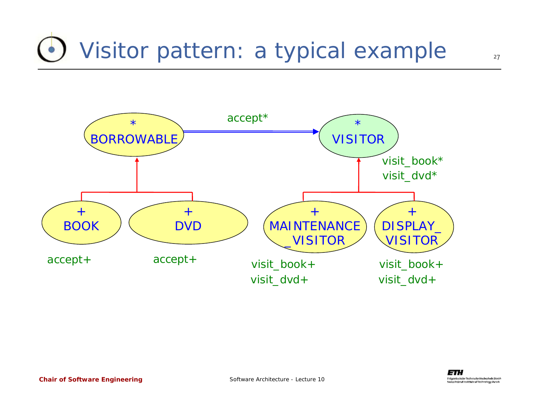## Visitor pattern: a typical example

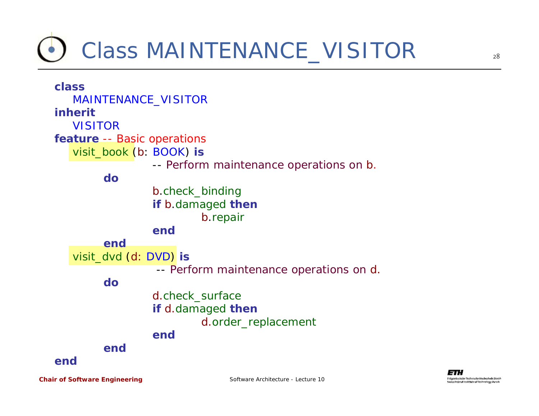### Class *MAINTENANCE\_VISITOR*



28

*Chair of Software Engineering*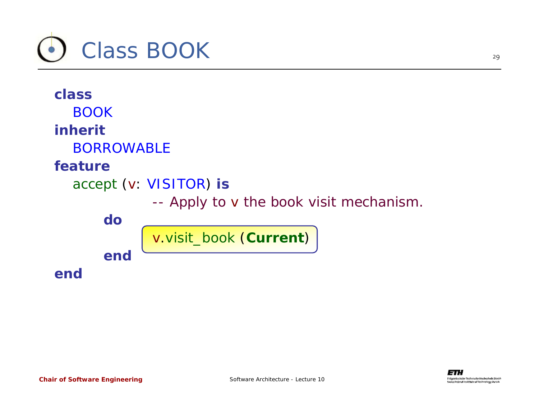

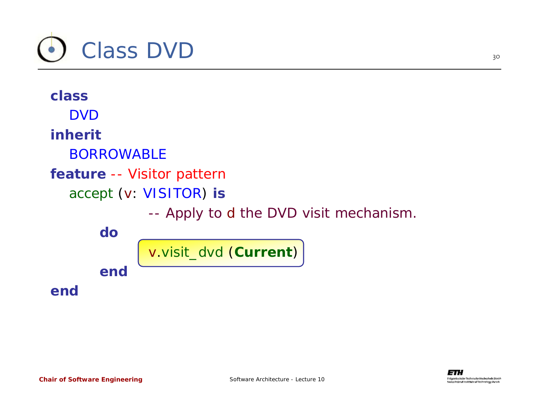

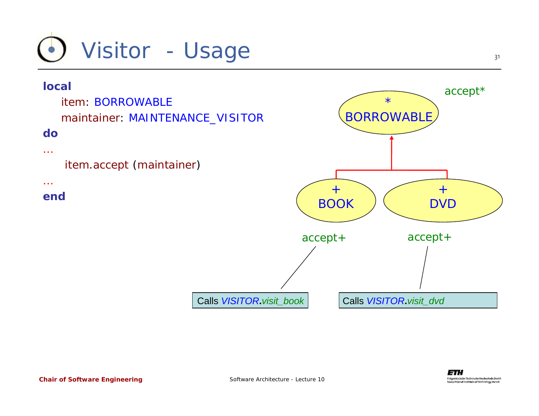

#### **local**

*item*: *BORROWABLEmaintainer*: *MAINTENANCE\_VISITOR*

#### **do**

#### …

*item*.*accept* (*maintainer*)

#### …

**end**

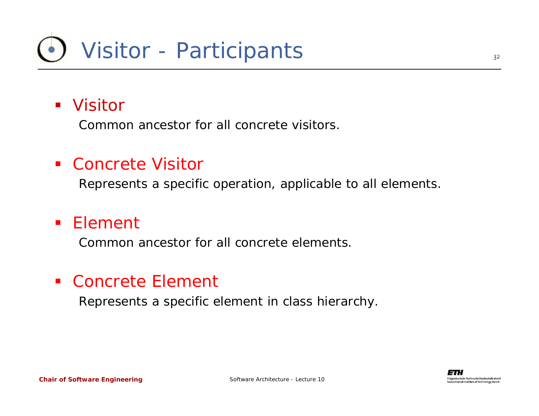#### Visitor

Common ancestor for all concrete visitors.

#### ■ Concrete Visitor

Represents a specific operation, applicable to all elements.

#### ■ Element

Common ancestor for all concrete elements.

#### ■ Concrete Element

Represents a specific element in class hierarchy.

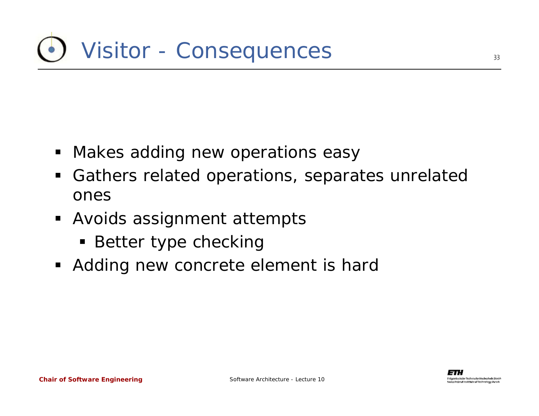- Makes adding new operations easy
- $\blacksquare$  Gathers related operations, separates unrelated ones
- **Avoids assignment attempts** 
	- **Better type checking**
- Adding new concrete element is hard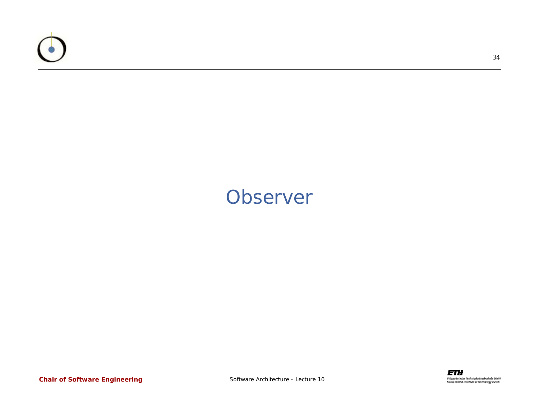

#### **Observer**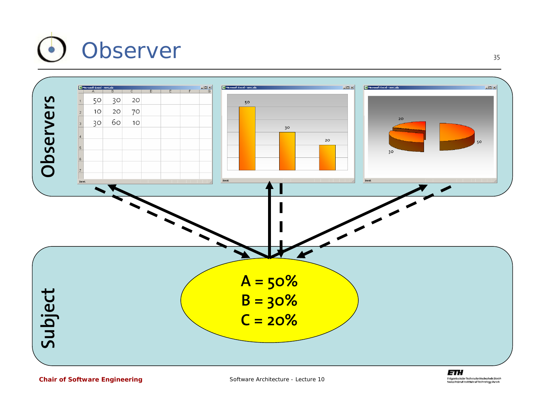



*Chair of Software Engineering*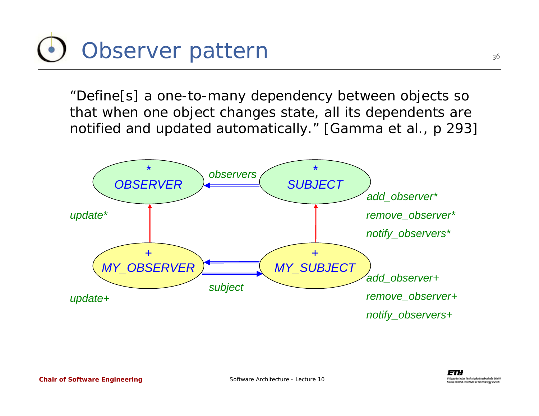

"*Define*[*s*] *a one-to-many dependency between objects so that when one object changes state, all its dependents are notified and updated automatically.*" [Gamma et al., p 293]

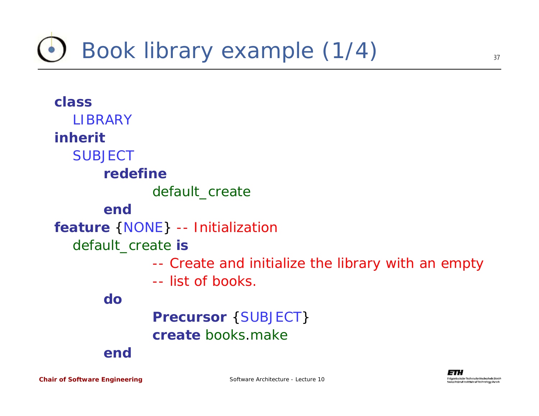### Book library example (1/4)



*Chair of Software Engineering*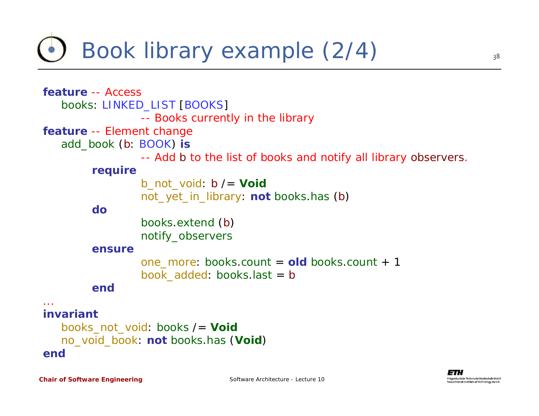### Book library example (2/4)

```
feature -- Access
   books: LINKED_LIST [BOOKS]
                 -- Books currently in the library
feature -- Element change
   add_book (b: BOOK) is
                 -- Add b to the list of books and notify all library observers.
        require
                 b_not_void: b /= Void
                 not_yet_in_library: not books.has (b)
        dobooks.extend (b)
                 notify_observers
        ensureone_more: books.count =old books.count + 1
                 book_added: books.last =b
        end...invariantbooks_not_void: books /= Void
   no_void_book: not books.has (Void)
```
**end**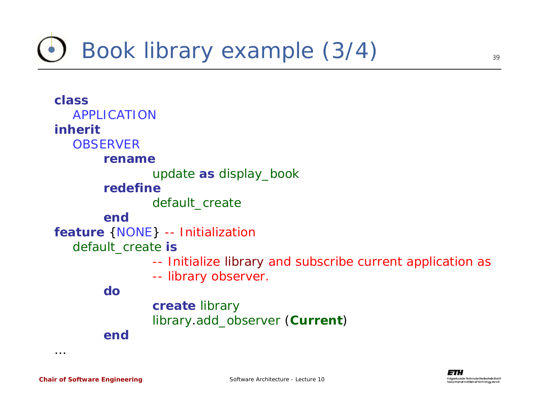### Book library example (3/4)

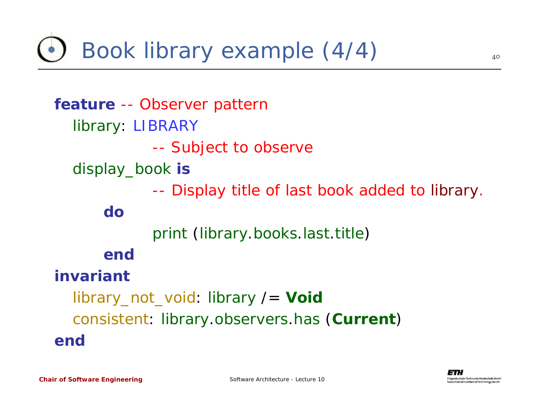Book library example (4/4)

**feature** -- Observer pattern *library*: *LIBRARY* --- Subject to observe *display\_book* **is** -- Display title of last book added to *library*. **do***print* (*library*.*books*.*last*.*title*) **endinvariant**library\_not\_void: *library* /= *Void* consistent: *library*.*observers*.*has* (*Current*) **end**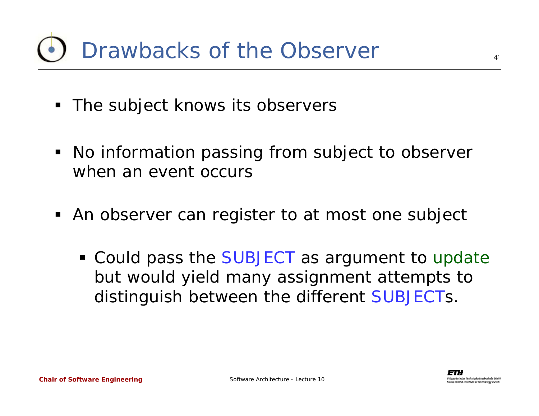- The subject knows its observers
- No information passing from subject to observer when an event occurs
- **An observer can register to at most one subject** 
	- Could pass the *SUBJECT* as argument to *update* but would yield many assignment attempts to distinguish between the different *SUBJECT*s.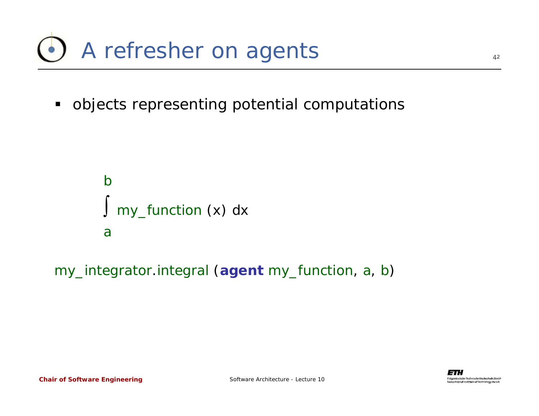

 $\blacksquare$ objects representing potential computations

```
b∫ my_function (x) dx
a
```
*my\_integrator*.*integral* (**agent** *my\_function*, *a*, *b*)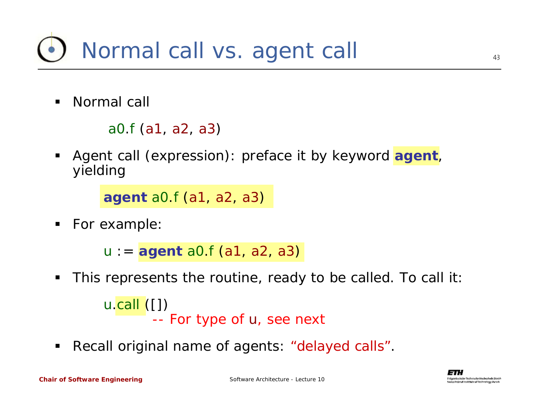

 $\blacksquare$ Normal call

```
a0.f (a1, a2, a3)
```
 Agent call (expression): preface it by keyword **agent**, yielding

**agent** *a0*.*f* (*a1*, *a2*, *a3*)

 $\blacksquare$ For example:

*u* := **agent** *a0*.*f* (*a1*, *a2*, *a3*)

 $\blacksquare$ This represents the routine, ready to be called. To call it:

```
u.call ([])
        -- For type of u, see next
```
 $\blacksquare$ Recall original name of agents: "delayed calls".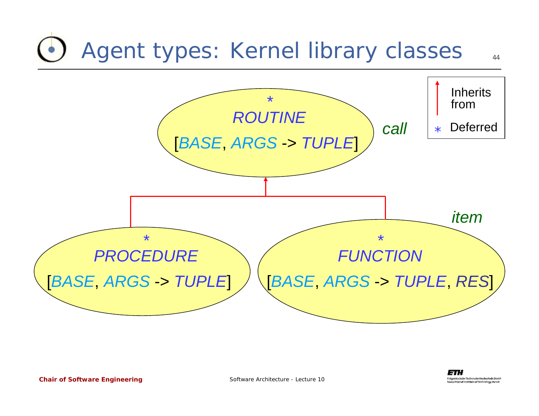### Agent types: Kernel library classes





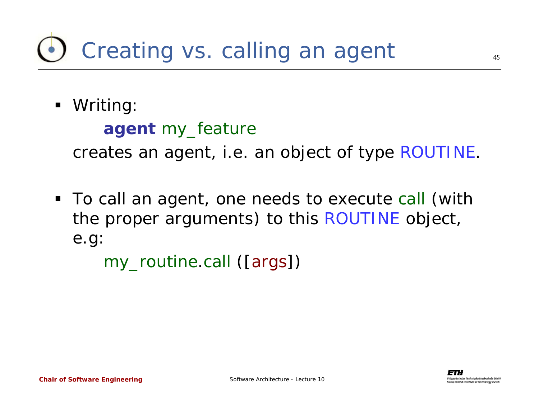### Creating vs. calling an agent

Writing:

```
agent my_feature
```
creates an agent, i.e. an object of type *ROUTINE*.

 To call an agent, one needs to execute *call* (with the proper arguments) to this *ROUTINE* object, e.g:

*my\_routine*.*call* ([*args*])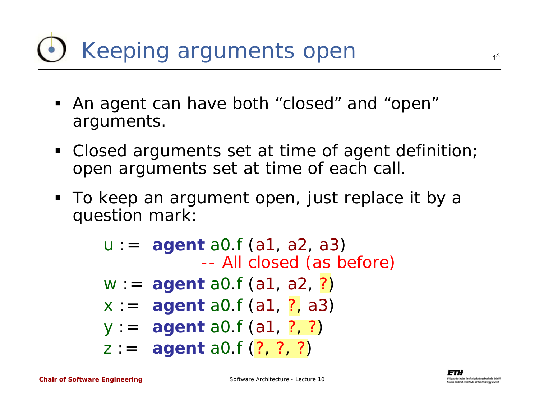# Keeping arguments open

- An agent can have both "closed" and "open" arguments.
- Closed arguments set at time of agent definition; open arguments set at time of each call.
- To keep an argument open, just replace it by a question mark:

*u* := **agent** *a0*.*f* (*a1*, *a2*, *a3*) -- All closed (as before) *w* := **agent** *a0*.*f* (*a1*, *a2*, ?) *x* := **agent** *a0*.*f* (*a1*, ?, *a3*) *y* := **agent** *a0*.*f* (*a1*, ?, ?) *z* := **agent** *a0*.*f* (?, ?, ?)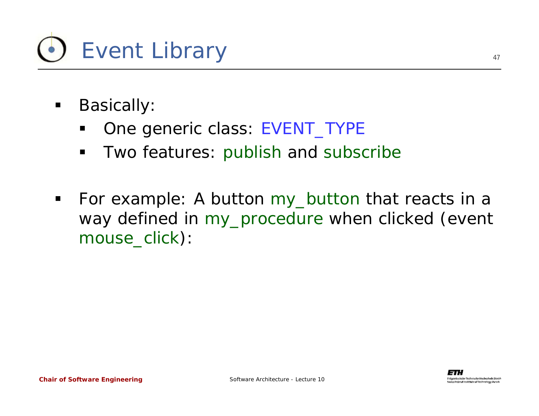

- $\blacksquare$  Basically:
	- One generic class: *EVENT\_TYPE*
	- $\blacksquare$ Two features: *publish* and *subscribe*
- $\blacksquare$  For example: A button *my\_button* that reacts in a way defined in *my\_procedure* when clicked (event *mouse\_click*):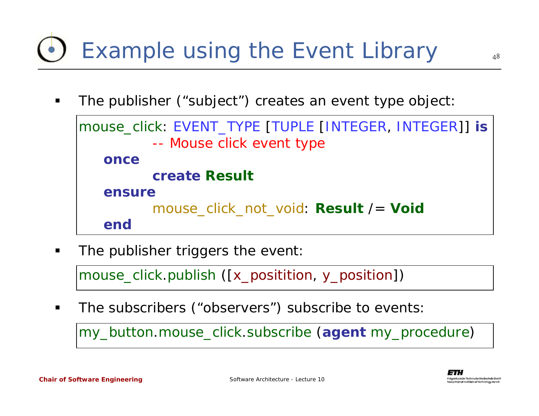### Example using the Event Library

48

The publisher ("subject") creates an event type object:

```
mouse_click: EVENT_TYPE [TUPLE [INTEGER, INTEGER]] is
          -- Mouse click event type
   oncecreate Result
   ensuremouse_click_not_void: Result /= Void
   end
```
The publisher triggers the event:

*mouse\_click*.*publish* ([*x\_positition*, *y\_position*])

The subscribers ("observers") subscribe to events:

*my\_button*.*mouse\_click*.*subscribe* (**agent** *my\_procedure*)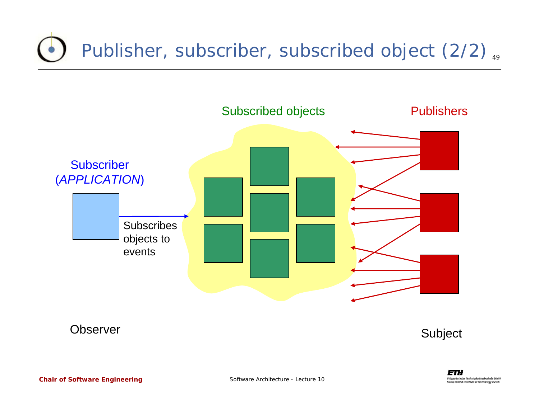#### Publisher, subscriber, subscribed object (2/2)  $_{\tiny{49}}$



**Observer** 

Subject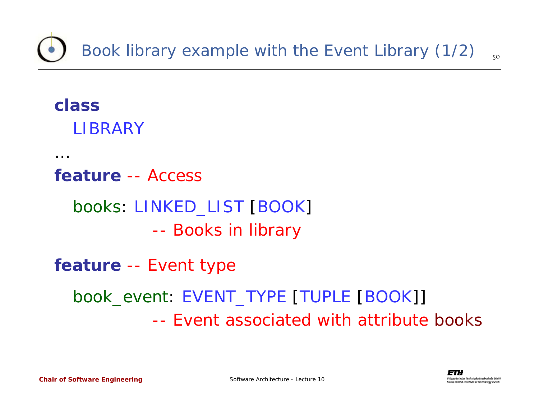#### **class***LIBRARY*

…

#### **feature** -- Access

#### *books*: *LINKED\_LIST* [*BOOK*] --- Books in library

#### **feature** -- Event type

#### *book\_event*: *EVENT\_TYPE* [*TUPLE* [*BOOK*]] -- Event associated with attribute *books*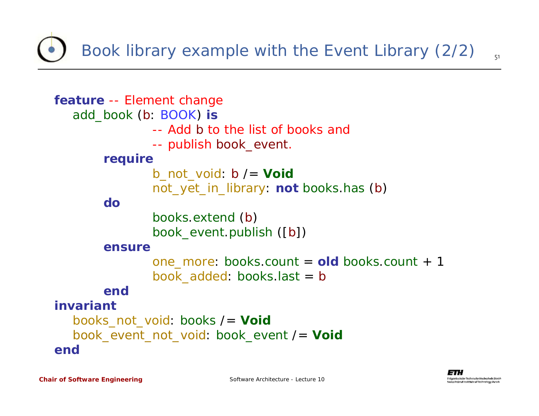Book library example with the Event Library (2/2)

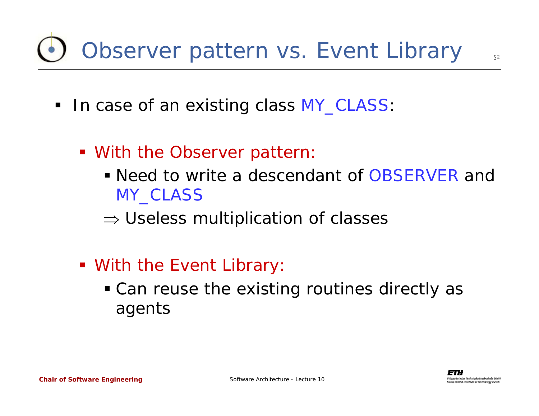# Observer pattern vs. Event Library

- In case of an existing class *MY\_CLASS*:
	- **With the Observer pattern:** 
		- Need to write a descendant of *OBSERVER* and *MY\_CLASS*
		- $\Rightarrow$  Useless multiplication of classes
	- **With the Event Library:** 
		- Can reuse the existing routines directly as agents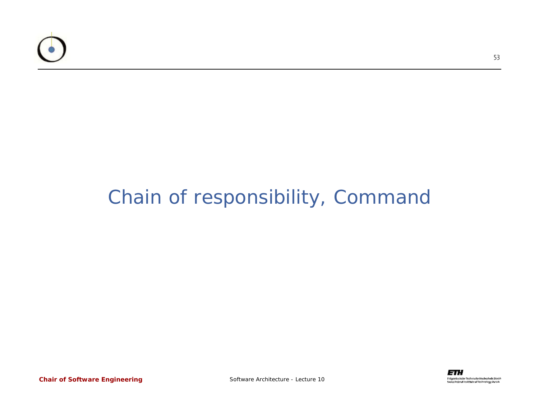

#### Chain of responsibility, Command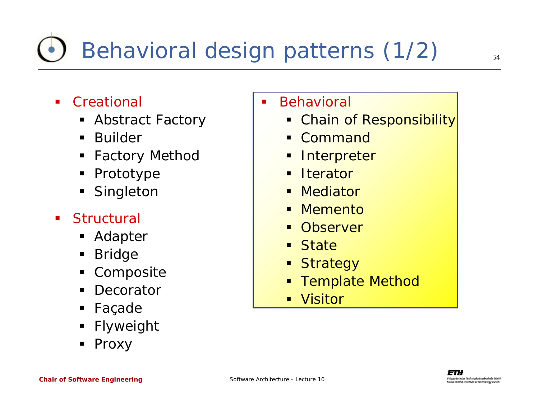#### $\blacksquare$ **Creational**

- Abstract Factory
- $\blacksquare$ Builder
- $\blacksquare$ Factory Method
- Prototype
- Singleton

#### $\blacksquare$ **Structural**

- Adapter
- ٠ Bridge
- ٠ Composite
- $\blacksquare$ **Decorator**
- ٠ Façade
- ٠ Flyweight
- Proxy

#### Behavioral

- ٠ Chain of Responsibility
- Command
- ٠ **Interpreter**
- **Iterator**
- Mediator
- Ξ **Memento**
- **Observer**
- Ξ State
- Ξ **Strategy**
- Template Method
- $\blacksquare$ Visitor

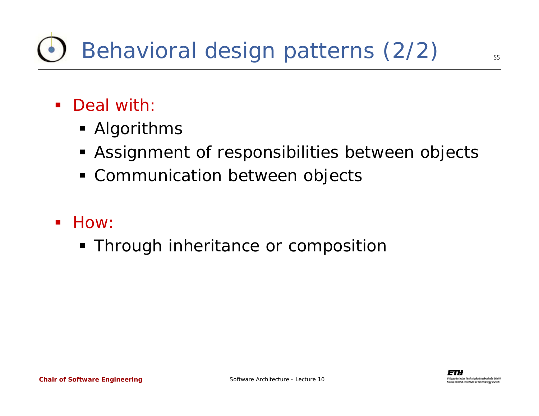# Behavioral design patterns (2/2)

- Deal with:
	- Algorithms
	- Assignment of responsibilities between objects
	- Communication between objects
- **How:** 
	- Through inheritance or composition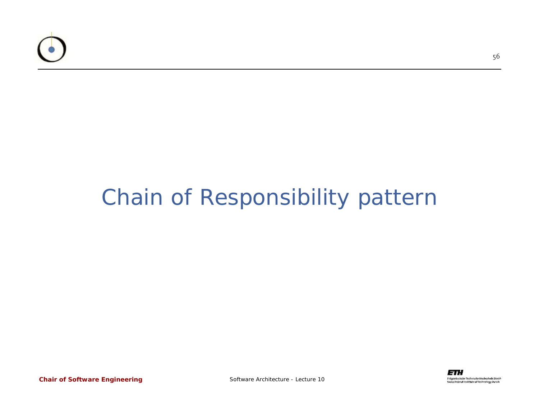

#### Chain of Responsibility pattern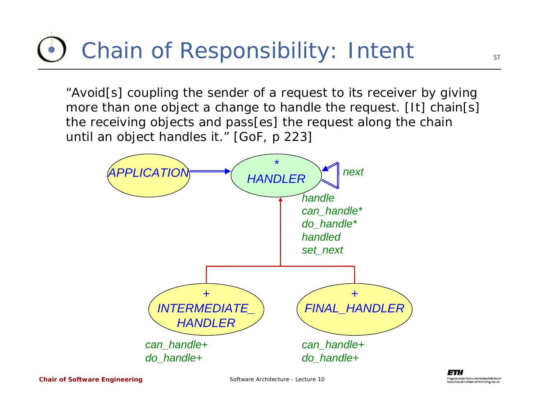### Chain of Responsibility: Intent

"*Avoid*[*s*] *coupling the sender of a request to its receiver by giving more than one object a change to handle the request.* [It] *chain*[*s*] *the receiving objects and pass*[*es*] *the request along the chain until an object handles it.*" [GoF, p 223]



Software Architecture - Lecture 10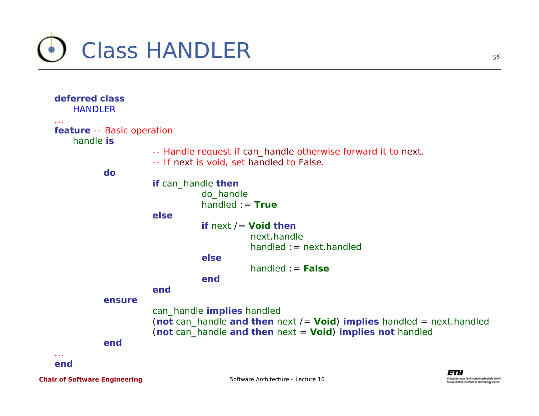

| deferred class<br><b>HANDLER</b>                   |                                                                                                            |
|----------------------------------------------------|------------------------------------------------------------------------------------------------------------|
| $\sim$ $\sim$ $\sim$<br>feature -- Basic operation |                                                                                                            |
| handle is                                          |                                                                                                            |
|                                                    | -- Handle request if can_handle otherwise forward it to next.<br>-- If next is void, set handled to False. |
| do                                                 |                                                                                                            |
|                                                    | if can_handle then                                                                                         |
|                                                    | do_handle                                                                                                  |
|                                                    | $handled := True$                                                                                          |
|                                                    | else                                                                                                       |
|                                                    | if $next$ /= Void then                                                                                     |
|                                                    | next.handle                                                                                                |
|                                                    |                                                                                                            |
|                                                    | $handled := next.handled$                                                                                  |
|                                                    | else                                                                                                       |
|                                                    | $handled := False$                                                                                         |
|                                                    | end                                                                                                        |
|                                                    | end                                                                                                        |
| ensure                                             |                                                                                                            |
|                                                    | can_handle implies handled                                                                                 |
|                                                    | (not can_handle and then next $l =$ Void) implies handled = next. handled                                  |
|                                                    | (not can_handle and then next = Void) implies not handled                                                  |
| end                                                |                                                                                                            |
|                                                    |                                                                                                            |
| end                                                |                                                                                                            |
|                                                    | ETH                                                                                                        |

Fidgenössische Technische Mocheshule Zürich Swiss Federal Institute of Technology Zurich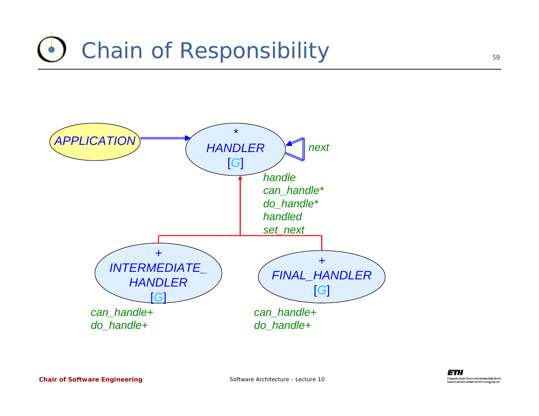## Chain of Responsibility

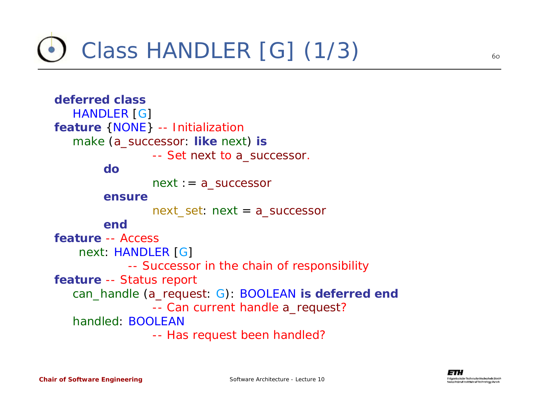

**deferred class***HANDLER* [*G*] **feature** {*NONE*} -- Initialization *make* (*a\_successor*: **like** *next*) **is** -- Set *next* to *a\_successor*. **do***next* := *a\_successor* **ensure**next\_set: *next* <sup>=</sup>*a\_successor* **endfeature** -- Access *next*: *HANDLER* [*G*] -- Successor in the chain of responsibility **feature** -- Status report *can\_handle* (*a\_request*: *G*): *BOOLEAN* **is deferred end** -- Can current handle *a\_request*? *handled*: *BOOLEAN*-- Has request been handled?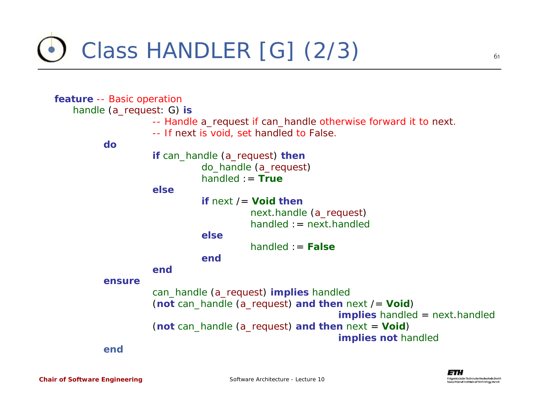Class *HANDLER* [*G*] (2/3)

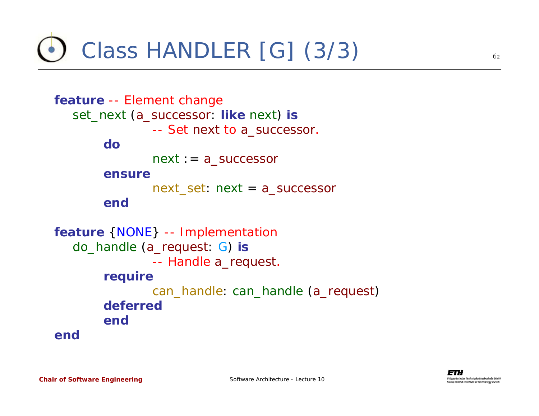Class *HANDLER* [*G*] (3/3)

```
feature -- Element change
  set_next (a_successor: like next) is
               -- Set next to a_successor.
       donext := a_successor
       ensurenext_set: next =a_successor
       endfeature {NONE} -- Implementation
  do_handle (a_request: G) is
               -- Handle a_request.
       require
               can_handle: can_handle (a_request)
       deferredendend
```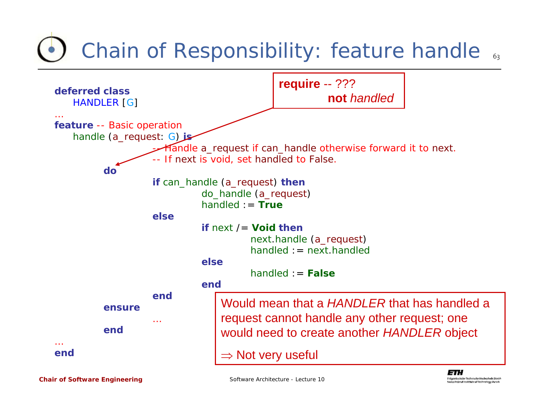## Chain of Responsibility: feature *handle* ..



*Chair of Software Engineering*

Software Architecture - Lecture 10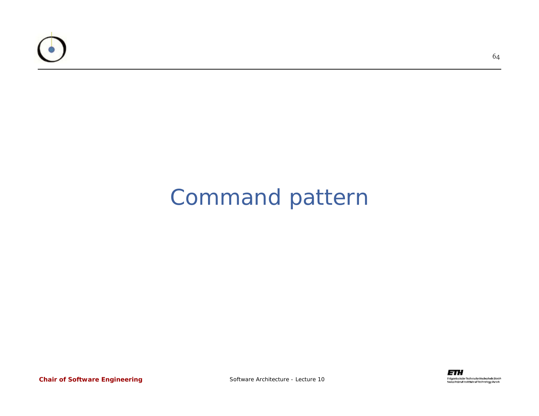

#### Command pattern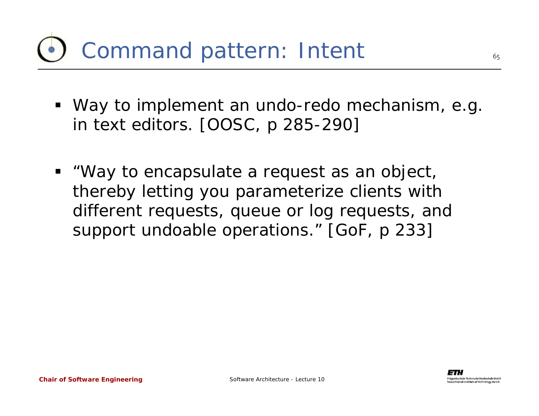### Command pattern: Intent

- Way to implement an undo-redo mechanism, e.g. in text editors. [OOSC, p 285-290]
- "*Way to encapsulate a request as an object, thereby letting you parameterize clients with different requests, queue or log requests, and support undoable operations.*" [GoF, p 233]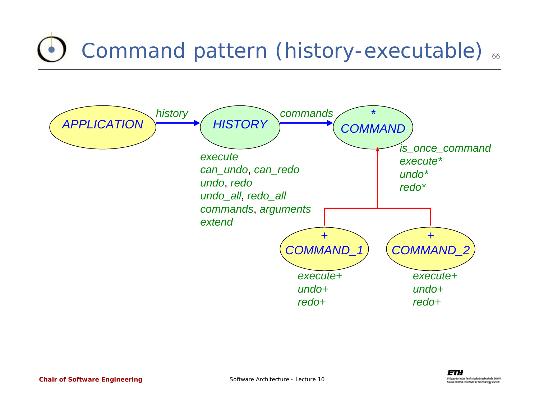# Command pattern (history-executable) ...

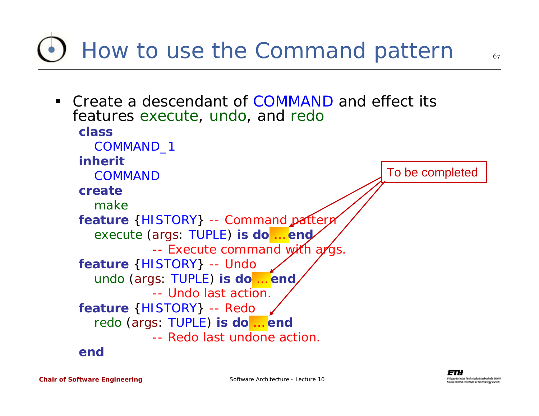67

features *execute*, *undo*, and *redo* **class***COMMAND\_1* **inherit***COMMAND***create***make***feature** {*HISTORY*} -- Command pattern *execute* (*args*: *TUPLE*) **is do** … **end** -- Execute command with *args*. **feature** {*HISTORY*} -- Undo *undo* (*args*: *TUPLE*) **is do** … **end** -- Undo last action. **feature** {*HISTORY*} -- Redo *redo* (*args*: *TUPLE*) **is do** … **end** -- Redo last undone action. **end**To be completed

 Create a descendant of *COMMAND*and effect its

How to use the Command pattern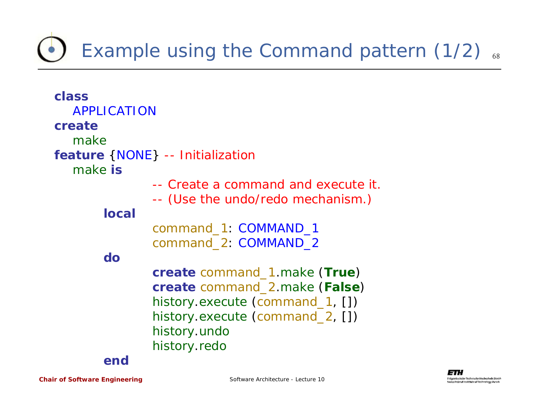### Example using the Command pattern (1/2) .

| class              |                                     |
|--------------------|-------------------------------------|
| <b>APPLICATION</b> |                                     |
| create             |                                     |
| make               |                                     |
|                    | feature { NONE} -- Initialization   |
| <i>make</i> is     |                                     |
|                    | -- Create a command and execute it. |
|                    | -- (Use the undo/redo mechanism.)   |
| <b>local</b>       |                                     |
|                    | command_1: COMMAND_1                |
|                    | command_2: COMMAND_2                |
| $\mathsf{do}$      |                                     |
|                    | create command_1.make (True)        |
|                    | create command_2.make (False)       |
|                    | history.execute (command_1, [])     |
|                    | history.execute (command_2, [])     |
|                    |                                     |
|                    | history.undo                        |
|                    | history.redo                        |
| end                |                                     |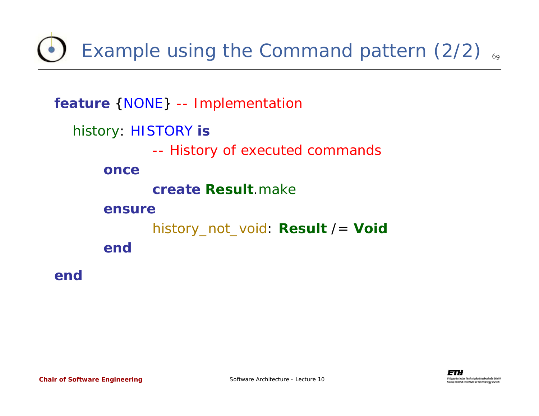Example using the Command pattern (2/2)  $_{69}$ 

```
feature {NONE} -- Implementation
  history: HISTORY is
             -- History of executed commands
      oncecreate Result.make
      ensurehistory_not_void: Result /= Void
      end
```
**end**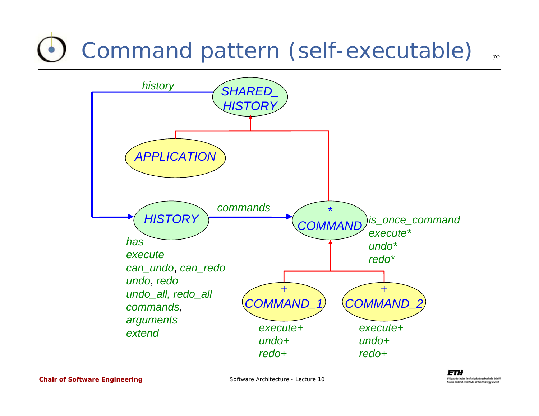## Command pattern (self-executable)